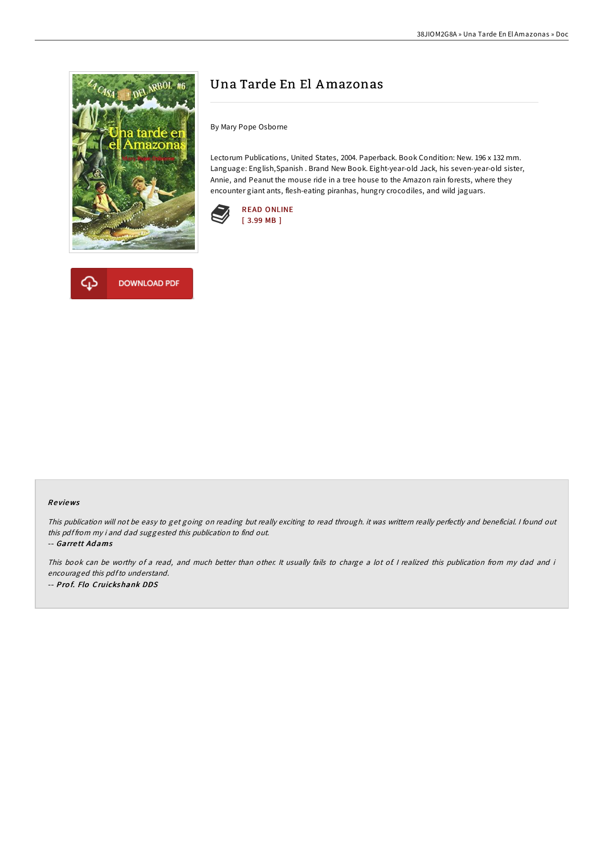

**DOWNLOAD PDF** 

# Una Tarde En El Amazonas

By Mary Pope Osborne

Lectorum Publications, United States, 2004. Paperback. Book Condition: New. 196 x 132 mm. Language: English,Spanish . Brand New Book. Eight-year-old Jack, his seven-year-old sister, Annie, and Peanut the mouse ride in a tree house to the Amazon rain forests, where they encounter giant ants, flesh-eating piranhas, hungry crocodiles, and wild jaguars.





This publication will not be easy to get going on reading but really exciting to read through. it was writtern really perfectly and beneficial. I found out this pdf from my i and dad suggested this publication to find out.

-- Garrett Adams

This book can be worthy of a read, and much better than other. It usually fails to charge a lot of I realized this publication from my dad and i encouraged this pdfto understand. -- Prof. Flo Cruickshank DDS